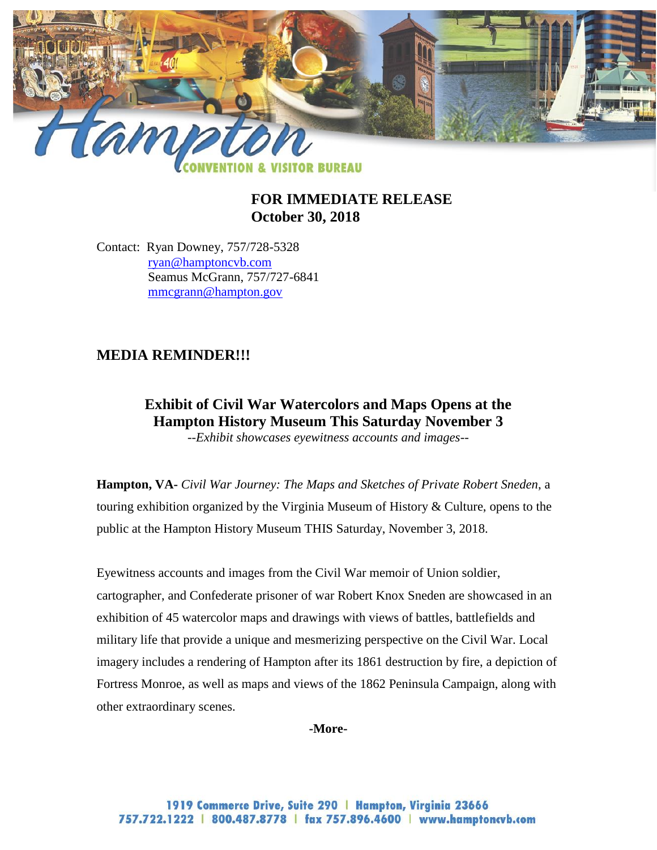

## **FOR IMMEDIATE RELEASE October 30, 2018**

Contact: Ryan Downey, 757/728-5328 [ryan@hamptoncvb.com](mailto:ryan@hamptoncvb.com) Seamus McGrann, 757/727-6841 [mmcgrann@hampton.gov](mailto:mmcgrann@hampton.gov)

## **MEDIA REMINDER!!!**

# **Exhibit of Civil War Watercolors and Maps Opens at the Hampton History Museum This Saturday November 3**

*--Exhibit showcases eyewitness accounts and images--*

**Hampton, VA-** *Civil War Journey: The Maps and Sketches of Private Robert Sneden*, a touring exhibition organized by the Virginia Museum of History & Culture, opens to the public at the Hampton History Museum THIS Saturday, November 3, 2018.

Eyewitness accounts and images from the Civil War memoir of Union soldier, cartographer, and Confederate prisoner of war Robert Knox Sneden are showcased in an exhibition of 45 watercolor maps and drawings with views of battles, battlefields and military life that provide a unique and mesmerizing perspective on the Civil War. Local imagery includes a rendering of Hampton after its 1861 destruction by fire, a depiction of Fortress Monroe, as well as maps and views of the 1862 Peninsula Campaign, along with other extraordinary scenes.

**-More-**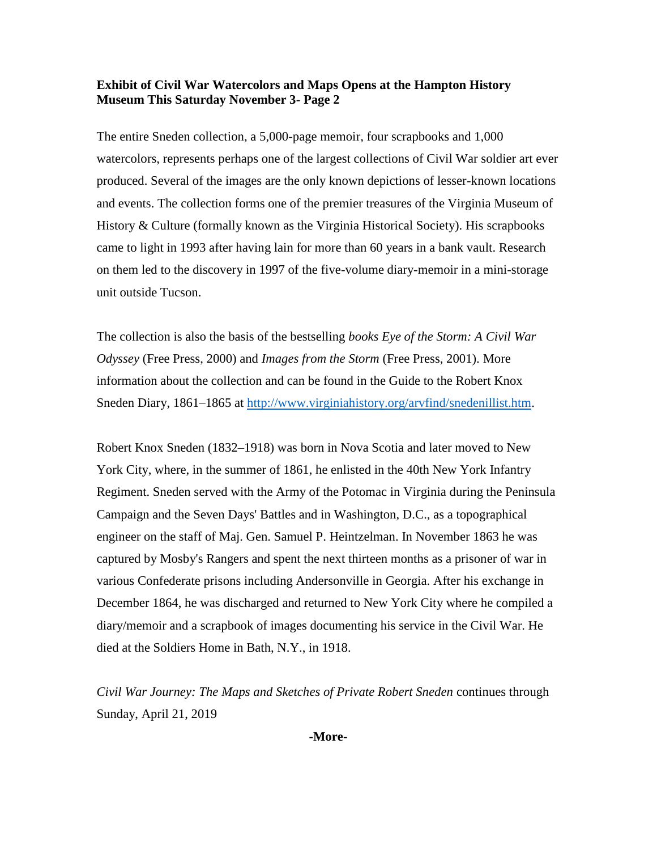#### **Exhibit of Civil War Watercolors and Maps Opens at the Hampton History Museum This Saturday November 3- Page 2**

The entire Sneden collection, a 5,000-page memoir, four scrapbooks and 1,000 watercolors, represents perhaps one of the largest collections of Civil War soldier art ever produced. Several of the images are the only known depictions of lesser-known locations and events. The collection forms one of the premier treasures of the Virginia Museum of History & Culture (formally known as the Virginia Historical Society). His scrapbooks came to light in 1993 after having lain for more than 60 years in a bank vault. Research on them led to the discovery in 1997 of the five-volume diary-memoir in a mini-storage unit outside Tucson.

The collection is also the basis of the bestselling *books Eye of the Storm: A Civil War Odyssey* (Free Press, 2000) and *Images from the Storm* (Free Press, 2001). More information about the collection and can be found in the Guide to the Robert Knox Sneden Diary, 1861–1865 at [http://www.virginiahistory.org/arvfind/snedenillist.htm.](http://www.virginiahistory.org/arvfind/snedenillist.htm)

Robert Knox Sneden (1832–1918) was born in Nova Scotia and later moved to New York City, where, in the summer of 1861, he enlisted in the 40th New York Infantry Regiment. Sneden served with the Army of the Potomac in Virginia during the Peninsula Campaign and the Seven Days' Battles and in Washington, D.C., as a topographical engineer on the staff of Maj. Gen. Samuel P. Heintzelman. In November 1863 he was captured by Mosby's Rangers and spent the next thirteen months as a prisoner of war in various Confederate prisons including Andersonville in Georgia. After his exchange in December 1864, he was discharged and returned to New York City where he compiled a diary/memoir and a scrapbook of images documenting his service in the Civil War. He died at the Soldiers Home in Bath, N.Y., in 1918.

*Civil War Journey: The Maps and Sketches of Private Robert Sneden* continues through Sunday, April 21, 2019

**-More-**